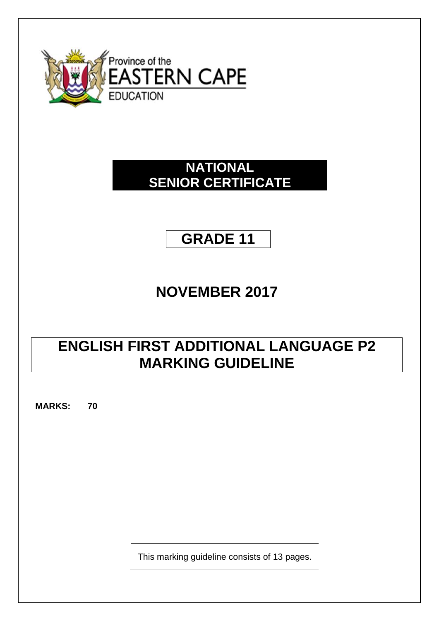

# **NATIONAL SENIOR CERTIFICATE**

# **GRADE 11**

# **NOVEMBER 2017**

# **ENGLISH FIRST ADDITIONAL LANGUAGE P2 MARKING GUIDELINE**

**MARKS: 70**

This marking guideline consists of 13 pages.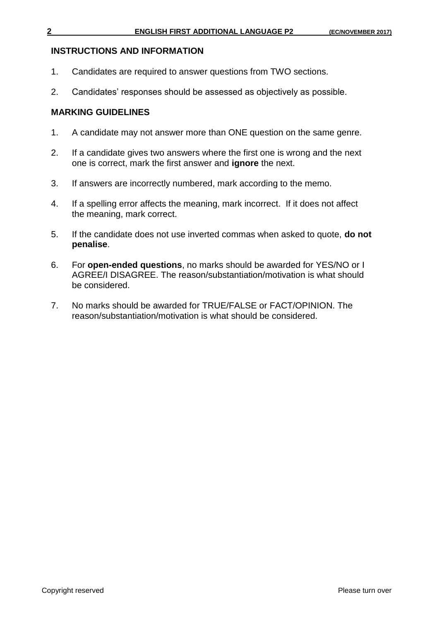### **INSTRUCTIONS AND INFORMATION**

- 1. Candidates are required to answer questions from TWO sections.
- 2. Candidates' responses should be assessed as objectively as possible.

### **MARKING GUIDELINES**

- 1. A candidate may not answer more than ONE question on the same genre.
- 2. If a candidate gives two answers where the first one is wrong and the next one is correct, mark the first answer and **ignore** the next.
- 3. If answers are incorrectly numbered, mark according to the memo.
- 4. If a spelling error affects the meaning, mark incorrect. If it does not affect the meaning, mark correct.
- 5. If the candidate does not use inverted commas when asked to quote, **do not penalise**.
- 6. For **open-ended questions**, no marks should be awarded for YES/NO or I AGREE/I DISAGREE. The reason/substantiation/motivation is what should be considered.
- 7. No marks should be awarded for TRUE/FALSE or FACT/OPINION. The reason/substantiation/motivation is what should be considered.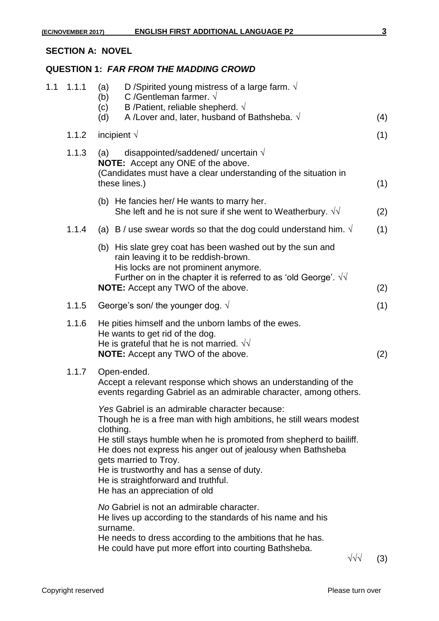### **SECTION A: NOVEL**

# **QUESTION 1:** *FAR FROM THE MADDING CROWD*

| 1.1 | 1.1.1 | (a)<br>(b)<br>(c)<br>(d) | D /Spirited young mistress of a large farm. $\sqrt{ }$<br>C /Gentleman farmer. $\sqrt{ }$<br>B /Patient, reliable shepherd. $\sqrt{ }$<br>A /Lover and, later, husband of Bathsheba. $\sqrt{ }$                                                                                    | (4) |
|-----|-------|--------------------------|------------------------------------------------------------------------------------------------------------------------------------------------------------------------------------------------------------------------------------------------------------------------------------|-----|
|     | 1.1.2 |                          | incipient $\sqrt{}$                                                                                                                                                                                                                                                                | (1) |
|     | 1.1.3 | (a)                      | disappointed/saddened/ uncertain $\sqrt{}$<br><b>NOTE:</b> Accept any ONE of the above.<br>(Candidates must have a clear understanding of the situation in<br>these lines.)                                                                                                        | (1) |
|     |       |                          | (b) He fancies her/ He wants to marry her.<br>She left and he is not sure if she went to Weatherbury. $\sqrt{v}$                                                                                                                                                                   | (2) |
|     | 1.1.4 |                          | (a) B / use swear words so that the dog could understand him. $\sqrt{ }$                                                                                                                                                                                                           | (1) |
|     |       |                          | (b) His slate grey coat has been washed out by the sun and<br>rain leaving it to be reddish-brown.<br>His locks are not prominent anymore.<br>Further on in the chapter it is referred to as 'old George'. $\sqrt{v}$<br><b>NOTE:</b> Accept any TWO of the above.                 | (2) |
|     | 1.1.5 |                          | George's son/ the younger dog. $\sqrt{ }$                                                                                                                                                                                                                                          | (1) |
|     | 1.1.6 |                          | He pities himself and the unborn lambs of the ewes.<br>He wants to get rid of the dog.<br>He is grateful that he is not married. $\sqrt{v}$<br><b>NOTE:</b> Accept any TWO of the above.                                                                                           | (2) |
|     | 1.1.7 |                          | Open-ended.<br>Accept a relevant response which shows an understanding of the<br>events regarding Gabriel as an admirable character, among others.<br>Yes Gabriel is an admirable character because:<br>Though he is a free man with high ambitions, he still wears modest         |     |
|     |       | clothing.                | He still stays humble when he is promoted from shepherd to bailiff.<br>He does not express his anger out of jealousy when Bathsheba<br>gets married to Troy.<br>He is trustworthy and has a sense of duty.<br>He is straightforward and truthful.<br>He has an appreciation of old |     |
|     |       | surname.                 | No Gabriel is not an admirable character.<br>He lives up according to the standards of his name and his<br>He needs to dress according to the ambitions that he has.<br>He could have put more effort into courting Bathsheba.                                                     |     |

 $\sqrt{sqrt}$  (3)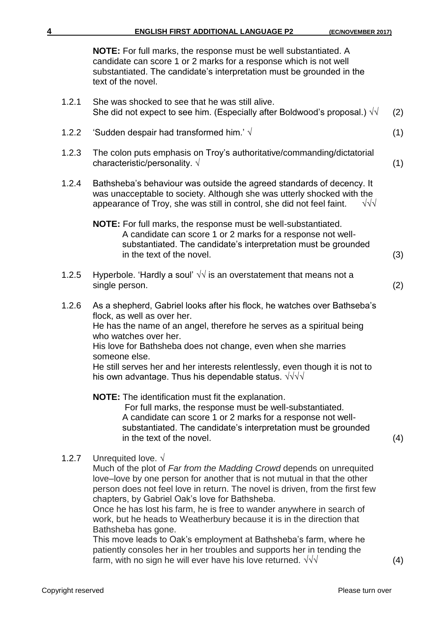**NOTE:** For full marks, the response must be well substantiated. A candidate can score 1 or 2 marks for a response which is not well substantiated. The candidate's interpretation must be grounded in the text of the novel.

- 1.2.1 She was shocked to see that he was still alive. She did not expect to see him. (Especially after Boldwood's proposal.)  $\sqrt{v}$  (2)
- 1.2.2 'Sudden despair had transformed him.' √ (1)
- 1.2.3 The colon puts emphasis on Troy's authoritative/commanding/dictatorial characteristic/personality.  $\sqrt{ }$  (1)
- 1.2.4 Bathsheba's behaviour was outside the agreed standards of decency. It was unacceptable to society. Although she was utterly shocked with the appearance of Troy, she was still in control. she did not feel faint.  $\sqrt{v/\sqrt{v}}$ appearance of Troy, she was still in control, she did not feel faint.
	- **NOTE:** For full marks, the response must be well-substantiated. A candidate can score 1 or 2 marks for a response not well substantiated. The candidate's interpretation must be grounded in the text of the novel. (3)
- 1.2.5 Hyperbole. 'Hardly a soul'  $\sqrt{v}$  is an overstatement that means not a single person. (2)
- 1.2.6 As a shepherd, Gabriel looks after his flock, he watches over Bathseba's flock, as well as over her. He has the name of an angel, therefore he serves as a spiritual being who watches over her.

His love for Bathsheba does not change, even when she marries someone else.

He still serves her and her interests relentlessly, even though it is not to his own advantage. Thus his dependable status. √√√√

**NOTE:** The identification must fit the explanation.

 For full marks, the response must be well-substantiated. A candidate can score 1 or 2 marks for a response not well substantiated. The candidate's interpretation must be grounded in the text of the novel. (4)

1.2.7 Unrequited love.  $\sqrt{ }$ 

Much of the plot of *Far from the Madding Crowd* depends on unrequited love–love by one person for another that is not mutual in that the other person does not feel love in return. The novel is driven, from the first few chapters, by Gabriel Oak's love for Bathsheba.

Once he has lost his farm, he is free to wander anywhere in search of work, but he heads to Weatherbury because it is in the direction that Bathsheba has gone.

This move leads to Oak's employment at Bathsheba's farm, where he patiently consoles her in her troubles and supports her in tending the farm, with no sign he will ever have his love returned.  $\sqrt{\sqrt{}}$  (4)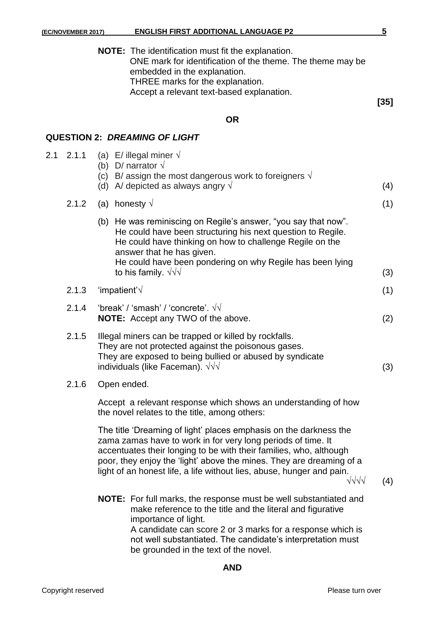**[35]**

| <b>NOTE:</b> The identification must fit the explanation.  |
|------------------------------------------------------------|
| ONE mark for identification of the theme. The theme may be |
| embedded in the explanation.                               |
| THREE marks for the explanation.                           |
| Accept a relevant text-based explanation.                  |
|                                                            |

# **OR**

# **QUESTION 2:** *DREAMING OF LIGHT*

| 2.1 | 2.1.1 | (a) E/ illegal miner $\sqrt{ }$<br>(b) D/ narrator $\sqrt{}$<br>(c) B/ assign the most dangerous work to foreigners $\sqrt{ }$<br>(d) A/ depicted as always angry $\sqrt{ }$                                                                                                                                                                                                         | (4) |
|-----|-------|--------------------------------------------------------------------------------------------------------------------------------------------------------------------------------------------------------------------------------------------------------------------------------------------------------------------------------------------------------------------------------------|-----|
|     | 2.1.2 | (a) honesty $\sqrt{}$                                                                                                                                                                                                                                                                                                                                                                | (1) |
|     |       | (b) He was reminiscing on Regile's answer, "you say that now".<br>He could have been structuring his next question to Regile.<br>He could have thinking on how to challenge Regile on the<br>answer that he has given.<br>He could have been pondering on why Regile has been lying<br>to his family. $\sqrt{\sqrt{}}$                                                               | (3) |
|     | 2.1.3 | 'impatient' $\sqrt{}$                                                                                                                                                                                                                                                                                                                                                                | (1) |
|     | 2.1.4 | 'break' / 'smash' / 'concrete'. $\sqrt{v}$<br>NOTE: Accept any TWO of the above.                                                                                                                                                                                                                                                                                                     | (2) |
|     | 2.1.5 | Illegal miners can be trapped or killed by rockfalls.<br>They are not protected against the poisonous gases.<br>They are exposed to being bullied or abused by syndicate<br>individuals (like Faceman). $\sqrt{v}$                                                                                                                                                                   | (3) |
|     | 2.1.6 | Open ended.                                                                                                                                                                                                                                                                                                                                                                          |     |
|     |       | Accept a relevant response which shows an understanding of how<br>the novel relates to the title, among others:                                                                                                                                                                                                                                                                      |     |
|     |       | The title 'Dreaming of light' places emphasis on the darkness the<br>zama zamas have to work in for very long periods of time. It<br>accentuates their longing to be with their families, who, although<br>poor, they enjoy the 'light' above the mines. They are dreaming of a<br>light of an honest life, a life without lies, abuse, hunger and pain.<br>$\sqrt{\sqrt{\sqrt{1}}}$ | (4) |
|     |       | <b>NOTE:</b> For full marks, the response must be well substantiated and<br>make reference to the title and the literal and figurative<br>importance of light.<br>A candidate can score 2 or 3 marks for a response which is<br>not well substantiated. The candidate's interpretation must<br>be grounded in the text of the novel.                                                 |     |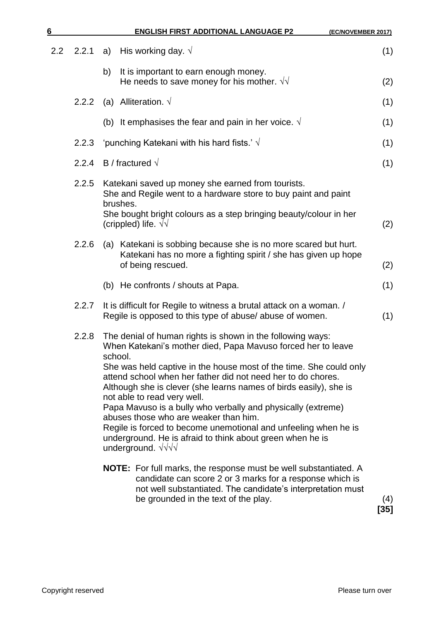| 6   |       |         | <b>ENGLISH FIRST ADDITIONAL LANGUAGE P2</b>                                                                                                                                                                                                                            | (EC/NOVEMBER 2017) |
|-----|-------|---------|------------------------------------------------------------------------------------------------------------------------------------------------------------------------------------------------------------------------------------------------------------------------|--------------------|
| 2.2 | 2.2.1 | a)      | His working day. $\sqrt{ }$                                                                                                                                                                                                                                            | (1)                |
|     |       | b)      | It is important to earn enough money.<br>He needs to save money for his mother. $\sqrt{v}$                                                                                                                                                                             | (2)                |
|     | 2.2.2 |         | (a) Alliteration. $\sqrt{}$                                                                                                                                                                                                                                            | (1)                |
|     |       |         | (b) It emphasises the fear and pain in her voice. $\sqrt{ }$                                                                                                                                                                                                           | (1)                |
|     | 2.2.3 |         | 'punching Katekani with his hard fists.' $\sqrt{}$                                                                                                                                                                                                                     | (1)                |
|     | 2.2.4 |         | B / fractured $\sqrt{ }$                                                                                                                                                                                                                                               | (1)                |
|     | 2.2.5 |         | Katekani saved up money she earned from tourists.<br>She and Regile went to a hardware store to buy paint and paint<br>brushes.<br>She bought bright colours as a step bringing beauty/colour in her<br>(crippled) life. $\sqrt{v}$                                    | (2)                |
|     | 2.2.6 |         | (a) Katekani is sobbing because she is no more scared but hurt.<br>Katekani has no more a fighting spirit / she has given up hope<br>of being rescued.                                                                                                                 | (2)                |
|     |       |         | (b) He confronts / shouts at Papa.                                                                                                                                                                                                                                     | (1)                |
|     | 2.2.7 |         | It is difficult for Regile to witness a brutal attack on a woman. /<br>Regile is opposed to this type of abuse/abuse of women.                                                                                                                                         | (1)                |
|     | 2.2.8 | school. | The denial of human rights is shown in the following ways:<br>When Katekani's mother died, Papa Mavuso forced her to leave                                                                                                                                             |                    |
|     |       |         | She was held captive in the house most of the time. She could only<br>attend school when her father did not need her to do chores.<br>Although she is clever (she learns names of birds easily), she is<br>not able to read very well.                                 |                    |
|     |       |         | Papa Mavuso is a bully who verbally and physically (extreme)<br>abuses those who are weaker than him.<br>Regile is forced to become unemotional and unfeeling when he is<br>underground. He is afraid to think about green when he is<br>underground. $\sqrt{\sqrt{}}$ |                    |
|     |       |         | <b>NOTE:</b> For full marks, the response must be well substantiated. A<br>candidate can score 2 or 3 marks for a response which is<br>not well substantiated. The candidate's interpretation must<br>be grounded in the text of the play.                             | (4)<br>[35]        |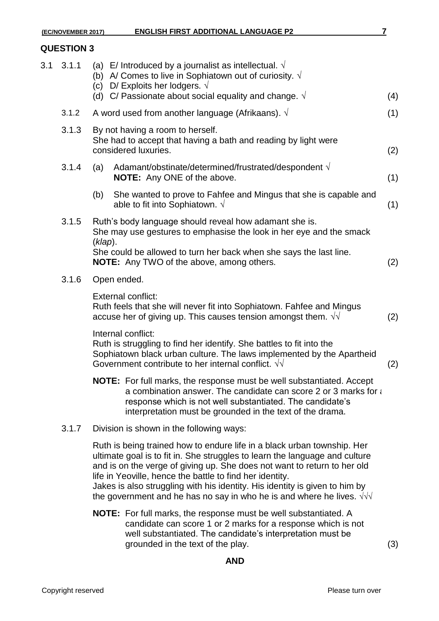# **QUESTION 3**

| 3.1 | 3.1.1 |         | (a) E/ Introduced by a journalist as intellectual. $\sqrt{ }$<br>(b) A/ Comes to live in Sophiatown out of curiosity. $\sqrt{ }$<br>(c) D/ Exploits her lodgers. $\sqrt{}$<br>(d) C/ Passionate about social equality and change. $\sqrt{ }$                                                                                                                                                                                                                  | (4) |
|-----|-------|---------|---------------------------------------------------------------------------------------------------------------------------------------------------------------------------------------------------------------------------------------------------------------------------------------------------------------------------------------------------------------------------------------------------------------------------------------------------------------|-----|
|     | 3.1.2 |         | A word used from another language (Afrikaans). $\sqrt{ }$                                                                                                                                                                                                                                                                                                                                                                                                     | (1) |
|     | 3.1.3 |         | By not having a room to herself.<br>She had to accept that having a bath and reading by light were<br>considered luxuries.                                                                                                                                                                                                                                                                                                                                    | (2) |
|     | 3.1.4 | (a)     | Adamant/obstinate/determined/frustrated/despondent $\sqrt{ }$<br><b>NOTE:</b> Any ONE of the above.                                                                                                                                                                                                                                                                                                                                                           | (1) |
|     |       | (b)     | She wanted to prove to Fahfee and Mingus that she is capable and<br>able to fit into Sophiatown. $\sqrt{ }$                                                                                                                                                                                                                                                                                                                                                   | (1) |
|     | 3.1.5 | (klap). | Ruth's body language should reveal how adamant she is.<br>She may use gestures to emphasise the look in her eye and the smack<br>She could be allowed to turn her back when she says the last line.<br><b>NOTE:</b> Any TWO of the above, among others.                                                                                                                                                                                                       | (2) |
|     | 3.1.6 |         | Open ended.                                                                                                                                                                                                                                                                                                                                                                                                                                                   |     |
|     |       |         | External conflict:<br>Ruth feels that she will never fit into Sophiatown. Fahfee and Mingus<br>accuse her of giving up. This causes tension amongst them. $\sqrt{v}$                                                                                                                                                                                                                                                                                          | (2) |
|     |       |         | Internal conflict:<br>Ruth is struggling to find her identify. She battles to fit into the<br>Sophiatown black urban culture. The laws implemented by the Apartheid<br>Government contribute to her internal conflict. $\sqrt{v}$                                                                                                                                                                                                                             | (2) |
|     |       |         | <b>NOTE:</b> For full marks, the response must be well substantiated. Accept<br>a combination answer. The candidate can score 2 or 3 marks for a<br>response which is not well substantiated. The candidate's<br>interpretation must be grounded in the text of the drama.                                                                                                                                                                                    |     |
|     | 3.1.7 |         | Division is shown in the following ways:                                                                                                                                                                                                                                                                                                                                                                                                                      |     |
|     |       |         | Ruth is being trained how to endure life in a black urban township. Her<br>ultimate goal is to fit in. She struggles to learn the language and culture<br>and is on the verge of giving up. She does not want to return to her old<br>life in Yeoville, hence the battle to find her identity.<br>Jakes is also struggling with his identity. His identity is given to him by<br>the government and he has no say in who he is and where he lives. $\sqrt{v}$ |     |
|     |       |         | <b>NOTE:</b> For full marks, the response must be well substantiated. A<br>candidate can score 1 or 2 marks for a response which is not<br>well substantiated. The candidate's interpretation must be                                                                                                                                                                                                                                                         |     |

grounded in the text of the play. (3)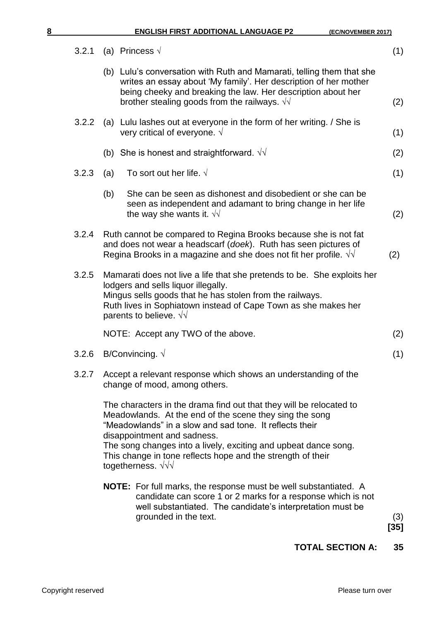| 8 |       |     | <b>ENGLISH FIRST ADDITIONAL LANGUAGE P2</b>                                                                                                                                                                                                                                                                                                                                                  | (EC/NOVEMBER 2017) |
|---|-------|-----|----------------------------------------------------------------------------------------------------------------------------------------------------------------------------------------------------------------------------------------------------------------------------------------------------------------------------------------------------------------------------------------------|--------------------|
|   | 3.2.1 |     | (a) Princess $\sqrt{ }$                                                                                                                                                                                                                                                                                                                                                                      | (1)                |
|   |       |     | (b) Lulu's conversation with Ruth and Mamarati, telling them that she<br>writes an essay about 'My family'. Her description of her mother<br>being cheeky and breaking the law. Her description about her<br>brother stealing goods from the railways. $\sqrt{v}$                                                                                                                            | (2)                |
|   | 3.2.2 |     | (a) Lulu lashes out at everyone in the form of her writing. / She is<br>very critical of everyone. $\sqrt{ }$                                                                                                                                                                                                                                                                                | (1)                |
|   |       | (b) | She is honest and straightforward. $\sqrt{\sqrt{2}}$                                                                                                                                                                                                                                                                                                                                         | (2)                |
|   | 3.2.3 | (a) | To sort out her life. $\sqrt{ }$                                                                                                                                                                                                                                                                                                                                                             | (1)                |
|   |       | (b) | She can be seen as dishonest and disobedient or she can be<br>seen as independent and adamant to bring change in her life<br>the way she wants it. $\sqrt{v}$                                                                                                                                                                                                                                | (2)                |
|   | 3.2.4 |     | Ruth cannot be compared to Regina Brooks because she is not fat<br>and does not wear a headscarf (doek). Ruth has seen pictures of<br>Regina Brooks in a magazine and she does not fit her profile. $\sqrt{v}$                                                                                                                                                                               | (2)                |
|   | 3.2.5 |     | Mamarati does not live a life that she pretends to be. She exploits her<br>lodgers and sells liquor illegally.<br>Mingus sells goods that he has stolen from the railways.<br>Ruth lives in Sophiatown instead of Cape Town as she makes her<br>parents to believe. $\sqrt{v}$                                                                                                               |                    |
|   |       |     | NOTE: Accept any TWO of the above.                                                                                                                                                                                                                                                                                                                                                           | (2)                |
|   |       |     | 3.2.6 B/Convincing. $\sqrt{}$                                                                                                                                                                                                                                                                                                                                                                | (1)                |
|   | 3.2.7 |     | Accept a relevant response which shows an understanding of the<br>change of mood, among others.                                                                                                                                                                                                                                                                                              |                    |
|   |       |     | The characters in the drama find out that they will be relocated to<br>Meadowlands. At the end of the scene they sing the song<br>"Meadowlands" in a slow and sad tone. It reflects their<br>disappointment and sadness.<br>The song changes into a lively, exciting and upbeat dance song.<br>This change in tone reflects hope and the strength of their<br>togetherness. $\sqrt{\sqrt{}}$ |                    |
|   |       |     | <b>NOTE:</b> For full marks, the response must be well substantiated. A<br>candidate can score 1 or 2 marks for a response which is not<br>well substantiated. The candidate's interpretation must be<br>grounded in the text.                                                                                                                                                               | (3)<br>[35]        |

**TOTAL SECTION A: 35**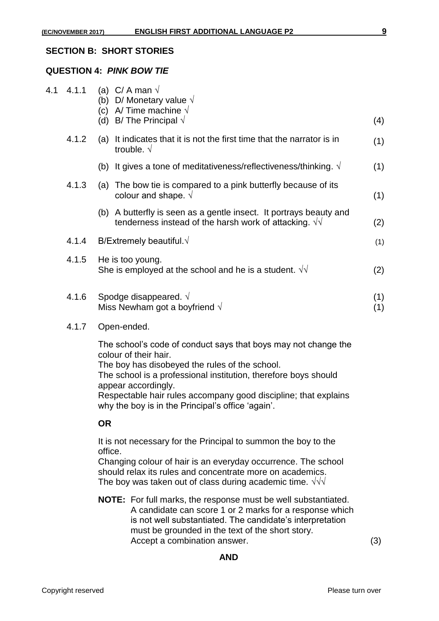#### **SECTION B: SHORT STORIES**

#### **QUESTION 4:** *PINK BOW TIE*

| 4.1 | 4.1.1 | C/ A man $\sqrt$<br>(a)<br>(b) D/ Monetary value $\sqrt{}$<br>A/Time machine $\sqrt$<br>(c)<br>B/The Principal $\sqrt$<br>(d)       | (4)        |
|-----|-------|-------------------------------------------------------------------------------------------------------------------------------------|------------|
|     | 4.1.2 | It indicates that it is not the first time that the narrator is in<br>(a)<br>trouble. $\sqrt{ }$                                    | (1)        |
|     |       | It gives a tone of meditativeness/reflectiveness/thinking. $\sqrt{ }$<br>(b)                                                        | (1)        |
|     | 4.1.3 | (a) The bow tie is compared to a pink butterfly because of its<br>colour and shape. $\sqrt{ }$                                      | (1)        |
|     |       | (b) A butterfly is seen as a gentle insect. It portrays beauty and<br>tenderness instead of the harsh work of attacking. $\sqrt{v}$ | (2)        |
|     | 4.1.4 | B/Extremely beautiful. $\sqrt{}$                                                                                                    | (1)        |
|     | 4.1.5 | He is too young.<br>She is employed at the school and he is a student. $\sqrt{v}$                                                   | (2)        |
|     | 4.1.6 | Spodge disappeared. $\sqrt{ }$<br>Miss Newham got a boyfriend $\sqrt{ }$                                                            | (1)<br>(1) |

#### 4.1.7 Open-ended.

The school's code of conduct says that boys may not change the colour of their hair.

The boy has disobeyed the rules of the school. The school is a professional institution, therefore boys should appear accordingly.

Respectable hair rules accompany good discipline; that explains why the boy is in the Principal's office 'again'.

#### **OR**

It is not necessary for the Principal to summon the boy to the office.

Changing colour of hair is an everyday occurrence. The school should relax its rules and concentrate more on academics. The boy was taken out of class during academic time.  $\sqrt{v}$ 

**NOTE:** For full marks, the response must be well substantiated. A candidate can score 1 or 2 marks for a response which is not well substantiated. The candidate's interpretation must be grounded in the text of the short story. Accept a combination answer. (3)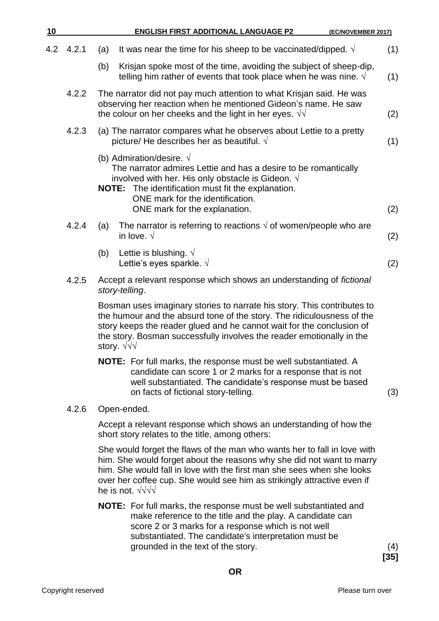| 10  |       | <b>ENGLISH FIRST ADDITIONAL LANGUAGE P2</b><br>(EC/NOVEMBER 2017)                                                                                                                                                                                                                                                        |     |
|-----|-------|--------------------------------------------------------------------------------------------------------------------------------------------------------------------------------------------------------------------------------------------------------------------------------------------------------------------------|-----|
| 4.2 | 4.2.1 | It was near the time for his sheep to be vaccinated/dipped. $\sqrt{ }$<br>(a)                                                                                                                                                                                                                                            | (1) |
|     |       | Krisjan spoke most of the time, avoiding the subject of sheep-dip,<br>(b)<br>telling him rather of events that took place when he was nine. $\sqrt{ }$                                                                                                                                                                   | (1) |
|     | 4.2.2 | The narrator did not pay much attention to what Krisjan said. He was<br>observing her reaction when he mentioned Gideon's name. He saw<br>the colour on her cheeks and the light in her eyes. $\sqrt{v}$                                                                                                                 | (2) |
|     | 4.2.3 | (a) The narrator compares what he observes about Lettie to a pretty<br>picture/ He describes her as beautiful. $\sqrt{ }$                                                                                                                                                                                                | (1) |
|     |       | (b) Admiration/desire. $\sqrt{}$<br>The narrator admires Lettie and has a desire to be romantically<br>involved with her. His only obstacle is Gideon. $\sqrt{ }$<br><b>NOTE:</b> The identification must fit the explanation.<br>ONE mark for the identification.<br>ONE mark for the explanation.                      | (2) |
|     | 4.2.4 | The narrator is referring to reactions $\sqrt{ }$ of women/people who are<br>(a)<br>in love. $\sqrt{ }$                                                                                                                                                                                                                  | (2) |
|     |       | Lettie is blushing. $\sqrt{}$<br>(b)<br>Lettie's eyes sparkle. V                                                                                                                                                                                                                                                         | (2) |
|     | 4.2.5 | Accept a relevant response which shows an understanding of fictional<br>story-telling.                                                                                                                                                                                                                                   |     |
|     |       | Bosman uses imaginary stories to narrate his story. This contributes to<br>the humour and the absurd tone of the story. The ridiculousness of the<br>story keeps the reader glued and he cannot wait for the conclusion of<br>the story. Bosman successfully involves the reader emotionally in the<br>story. $\sqrt{v}$ |     |

**NOTE:** For full marks, the response must be well substantiated. A candidate can score 1 or 2 marks for a response that is not well substantiated. The candidate's response must be based on facts of fictional story-telling. (3)

#### 4.2.6 Open-ended.

Accept a relevant response which shows an understanding of how the short story relates to the title, among others:

She would forget the flaws of the man who wants her to fall in love with him. She would forget about the reasons why she did not want to marry him. She would fall in love with the first man she sees when she looks over her coffee cup. She would see him as strikingly attractive even if he is not. √√√√

**NOTE:** For full marks, the response must be well substantiated and make reference to the title and the play. A candidate can score 2 or 3 marks for a response which is not well substantiated. The candidate's interpretation must be grounded in the text of the story. (4)

**[35]**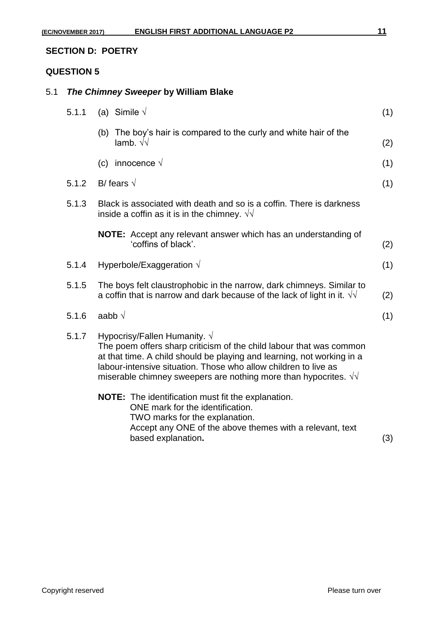# **SECTION D: POETRY**

# **QUESTION 5**

# 5.1 *The Chimney Sweeper* **by William Blake**

| 5.1.1 | (a) Simile $\sqrt{ }$                                                                                                                                                                                                                                                                                                               | (1) |
|-------|-------------------------------------------------------------------------------------------------------------------------------------------------------------------------------------------------------------------------------------------------------------------------------------------------------------------------------------|-----|
|       | (b) The boy's hair is compared to the curly and white hair of the<br>lamb. $\sqrt{\sqrt{2}}$                                                                                                                                                                                                                                        | (2) |
|       | (c) innocence $\sqrt{ }$                                                                                                                                                                                                                                                                                                            | (1) |
| 5.1.2 | B/ fears $\sqrt{ }$                                                                                                                                                                                                                                                                                                                 | (1) |
| 5.1.3 | Black is associated with death and so is a coffin. There is darkness<br>inside a coffin as it is in the chimney. $\sqrt{v}$                                                                                                                                                                                                         |     |
|       | NOTE: Accept any relevant answer which has an understanding of<br>'coffins of black'.                                                                                                                                                                                                                                               | (2) |
| 5.1.4 | Hyperbole/Exaggeration $\sqrt{ }$                                                                                                                                                                                                                                                                                                   | (1) |
| 5.1.5 | The boys felt claustrophobic in the narrow, dark chimneys. Similar to<br>a coffin that is narrow and dark because of the lack of light in it. $\sqrt{v}$                                                                                                                                                                            | (2) |
| 5.1.6 | aabb $\sqrt$                                                                                                                                                                                                                                                                                                                        | (1) |
| 5.1.7 | Hypocrisy/Fallen Humanity. $\sqrt{}$<br>The poem offers sharp criticism of the child labour that was common<br>at that time. A child should be playing and learning, not working in a<br>labour-intensive situation. Those who allow children to live as<br>miserable chimney sweepers are nothing more than hypocrites. $\sqrt{v}$ |     |
|       | NOTE: The identification must fit the explanation.<br>ONE mark for the identification.<br>TWO marks for the explanation.<br>Accept any ONE of the above themes with a relevant, text<br>based explanation.                                                                                                                          | (3) |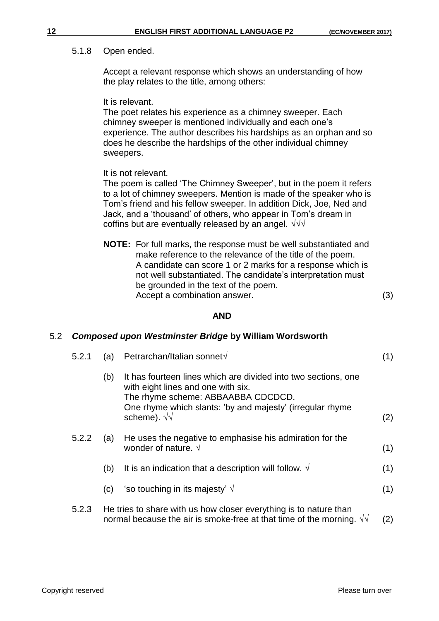# 5.1.8 Open ended.

Accept a relevant response which shows an understanding of how the play relates to the title, among others:

It is relevant.

The poet relates his experience as a chimney sweeper. Each chimney sweeper is mentioned individually and each one's experience. The author describes his hardships as an orphan and so does he describe the hardships of the other individual chimney sweepers.

It is not relevant.

The poem is called 'The Chimney Sweeper', but in the poem it refers to a lot of chimney sweepers. Mention is made of the speaker who is Tom's friend and his fellow sweeper. In addition Dick, Joe, Ned and Jack, and a 'thousand' of others, who appear in Tom's dream in coffins but are eventually released by an angel.  $\sqrt{v}$ 

**NOTE:** For full marks, the response must be well substantiated and make reference to the relevance of the title of the poem. A candidate can score 1 or 2 marks for a response which is not well substantiated. The candidate's interpretation must be grounded in the text of the poem. Accept a combination answer. (3)

# **AND**

# 5.2 *Composed upon Westminster Bridge* **by William Wordsworth**

| 5.2.1 | (a) | Petrarchan/Italian sonnet√                                                                                                                                                                                                     | (1) |
|-------|-----|--------------------------------------------------------------------------------------------------------------------------------------------------------------------------------------------------------------------------------|-----|
|       | (b) | It has fourteen lines which are divided into two sections, one<br>with eight lines and one with six.<br>The rhyme scheme: ABBAABBA CDCDCD.<br>One rhyme which slants: 'by and majesty' (irregular rhyme<br>scheme). $\sqrt{v}$ | (2) |
| 5.2.2 | (a) | He uses the negative to emphasise his admiration for the<br>wonder of nature. $\sqrt{ }$                                                                                                                                       | (1) |
|       | (b) | It is an indication that a description will follow. $\sqrt{ }$                                                                                                                                                                 | (1) |
|       | (c) | 'so touching in its majesty' $\sqrt{ }$                                                                                                                                                                                        | (1) |
| 5.2.3 |     | He tries to share with us how closer everything is to nature than<br>normal because the air is smoke-free at that time of the morning. $\sqrt{v}$                                                                              | (2) |